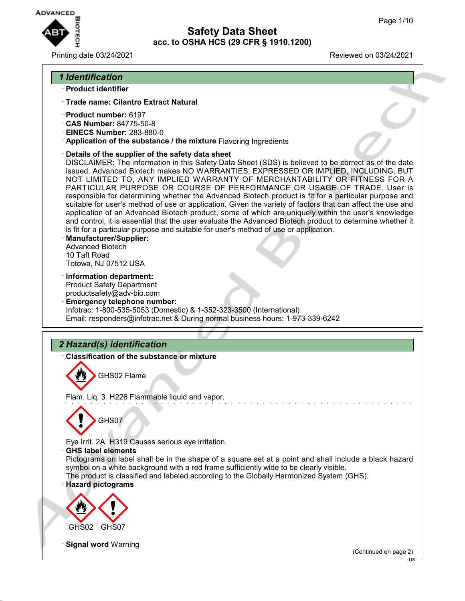

Printing date 03/24/2021 Reviewed on 03/24/2021

## *1 Identification*

### · **Product identifier**

- · **Trade name: Cilantro Extract Natural**
- · **Product number:** 6197
- · **CAS Number:** 84775-50-8
- · **EINECS Number:** 283-880-0
- · **Application of the substance / the mixture** Flavoring Ingredients
- · **Details of the supplier of the safety data sheet**

DISCLAIMER: The information in this Safety Data Sheet (SDS) is believed to be correct as of the date issued. Advanced Biotech makes NO WARRANTIES, EXPRESSED OR IMPLIED, INCLUDING, BUT NOT LIMITED TO, ANY IMPLIED WARRANTY OF MERCHANTABILITY OR FITNESS FOR A PARTICULAR PURPOSE OR COURSE OF PERFORMANCE OR USAGE OF TRADE. User is responsible for determining whether the Advanced Biotech product is fit for a particular purpose and suitable for user's method of use or application. Given the variety of factors that can affect the use and application of an Advanced Biotech product, some of which are uniquely within the user's knowledge and control, it is essential that the user evaluate the Advanced Biotech product to determine whether it is fit for a particular purpose and suitable for user's method of use or application.

- · **Manufacturer/Supplier:** Advanced Biotech 10 Taft Road Totowa, NJ 07512 USA
- · **Information department:**

Product Safety Department productsafety@adv-bio.com

· **Emergency telephone number:** Infotrac: 1-800-535-5053 (Domestic) & 1-352-323-3500 (International) Email: responders@infotrac.net & During normal business hours: 1-973-339-6242

# *2 Hazard(s) identification*

· **Classification of the substance or mixture**

GHS02 Flame

Flam. Liq. 3 H226 Flammable liquid and vapor.



Eye Irrit. 2A H319 Causes serious eye irritation.

#### · **GHS label elements**

Pictograms on label shall be in the shape of a square set at a point and shall include a black hazard symbol on a white background with a red frame sufficiently wide to be clearly visible. The product is classified and labeled according to the Globally Harmonized System (GHS).

### · **Hazard pictograms**



**Signal word Warning** 

(Continued on page 2)

US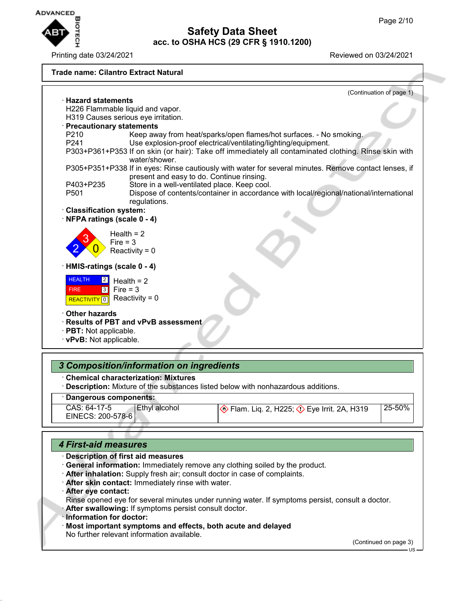

Printing date 03/24/2021 **Printing date 03/24/2021** 

#### **Trade name: Cilantro Extract Natural** (Continuation of page 1) · **Hazard statements** H226 Flammable liquid and vapor. H319 Causes serious eye irritation. · **Precautionary statements** P210 Keep away from heat/sparks/open flames/hot surfaces. - No smoking.<br>P241 See explosion-proof electrical/ventilating/lighting/equipment. Use explosion-proof electrical/ventilating/lighting/equipment. P303+P361+P353 If on skin (or hair): Take off immediately all contaminated clothing. Rinse skin with water/shower. P305+P351+P338 If in eyes: Rinse cautiously with water for several minutes. Remove contact lenses, if present and easy to do. Continue rinsing. P403+P235 Store in a well-ventilated place. Keep cool.<br>P501 Dispose of contents/container in accordance Dispose of contents/container in accordance with local/regional/national/international regulations. · **Classification system:** · **NFPA ratings (scale 0 - 4)** 2 3  $\overline{\mathbf{0}}$ Health  $= 2$  $Fire = 3$ Reactivity =  $0$ · **HMIS-ratings (scale 0 - 4) HEALTH**  FIRE **REACTIVITY** 0  $|2|$ 3 Health  $= 2$  $Fire = 3$ Reactivity =  $0$ · **Other hazards** · **Results of PBT and vPvB assessment** · **PBT:** Not applicable. · **vPvB:** Not applicable. *3 Composition/information on ingredients* · **Chemical characterization: Mixtures**

· **Description:** Mixture of the substances listed below with nonhazardous additions.

## · **Dangerous components:**

| CAS: 64-17-5<br>'Ethyl alcohol | Eye Irrit. 2A, H319 Polar Liq. 2, H319 | 25-50% |
|--------------------------------|----------------------------------------|--------|
|                                |                                        |        |
| EINECS: 200-578-6              |                                        |        |
|                                |                                        |        |
|                                |                                        |        |

### *4 First-aid measures*

- · **Description of first aid measures**
- · **General information:** Immediately remove any clothing soiled by the product.
- · **After inhalation:** Supply fresh air; consult doctor in case of complaints.
- · **After skin contact:** Immediately rinse with water.
- · **After eye contact:**
- Rinse opened eye for several minutes under running water. If symptoms persist, consult a doctor.
- After swallowing: If symptoms persist consult doctor.
- · **Information for doctor:**
- · **Most important symptoms and effects, both acute and delayed**

No further relevant information available.

(Continued on page 3)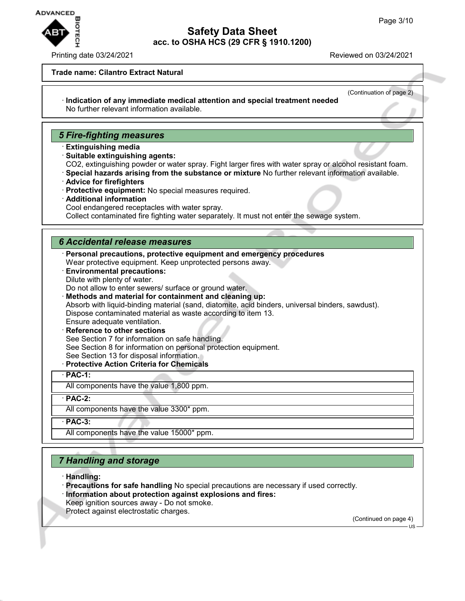

#### Printing date 03/24/2021 **Printing date 03/24/2021**

(Continuation of page 2)

#### **Trade name: Cilantro Extract Natural**

· **Indication of any immediate medical attention and special treatment needed** No further relevant information available.

### *5 Fire-fighting measures*

- · **Extinguishing media**
- · **Suitable extinguishing agents:**

CO2, extinguishing powder or water spray. Fight larger fires with water spray or alcohol resistant foam.

- · **Special hazards arising from the substance or mixture** No further relevant information available.
- · **Advice for firefighters**
- · **Protective equipment:** No special measures required.
- · **Additional information**

Cool endangered receptacles with water spray.

Collect contaminated fire fighting water separately. It must not enter the sewage system.

### *6 Accidental release measures*

- · **Personal precautions, protective equipment and emergency procedures** Wear protective equipment. Keep unprotected persons away.
- · **Environmental precautions:** Dilute with plenty of water.
- Do not allow to enter sewers/ surface or ground water.
- · **Methods and material for containment and cleaning up:**

Absorb with liquid-binding material (sand, diatomite, acid binders, universal binders, sawdust). Dispose contaminated material as waste according to item 13.

Ensure adequate ventilation.

- **Reference to other sections** See Section 7 for information on safe handling. See Section 8 for information on personal protection equipment. See Section 13 for disposal information.
- · **Protective Action Criteria for Chemicals**

#### · **PAC-1:**

All components have the value 1,800 ppm.

· **PAC-2:**

All components have the value 3300\* ppm.

· **PAC-3:**

All components have the value 15000\* ppm.

# *7 Handling and storage*

- · **Handling:**
- · **Precautions for safe handling** No special precautions are necessary if used correctly. · **Information about protection against explosions and fires:**
- Keep ignition sources away Do not smoke.
- Protect against electrostatic charges.

(Continued on page 4)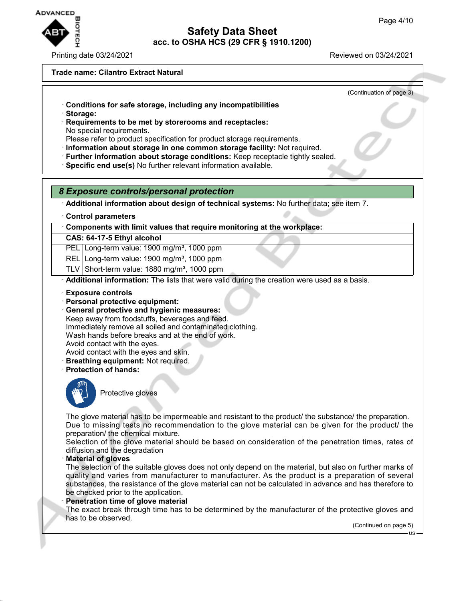

Printing date 03/24/2021 Reviewed on 03/24/2021

### **Trade name: Cilantro Extract Natural**

(Continuation of page 3)

- · **Conditions for safe storage, including any incompatibilities**
- · **Storage:**
- · **Requirements to be met by storerooms and receptacles:** No special requirements.
- Please refer to product specification for product storage requirements.
- · **Information about storage in one common storage facility:** Not required.
- · **Further information about storage conditions:** Keep receptacle tightly sealed.
- · **Specific end use(s)** No further relevant information available.

## *8 Exposure controls/personal protection*

· **Additional information about design of technical systems:** No further data; see item 7.

· **Control parameters**

· **Components with limit values that require monitoring at the workplace:**

### **CAS: 64-17-5 Ethyl alcohol**

PEL Long-term value: 1900 mg/m<sup>3</sup>, 1000 ppm

- REL Long-term value: 1900 mg/m<sup>3</sup>, 1000 ppm
- TLV Short-term value:  $1880 \text{ mg/m}^3$ , 1000 ppm

· **Additional information:** The lists that were valid during the creation were used as a basis.

- · **Exposure controls**
- · **Personal protective equipment:**
- · **General protective and hygienic measures:** Keep away from foodstuffs, beverages and feed. Immediately remove all soiled and contaminated clothing. Wash hands before breaks and at the end of work.

Avoid contact with the eyes.

- Avoid contact with the eyes and skin.
- · **Breathing equipment:** Not required.
- · **Protection of hands:**



Protective gloves

The glove material has to be impermeable and resistant to the product/ the substance/ the preparation. Due to missing tests no recommendation to the glove material can be given for the product/ the preparation/ the chemical mixture.

Selection of the glove material should be based on consideration of the penetration times, rates of diffusion and the degradation

· **Material of gloves**

The selection of the suitable gloves does not only depend on the material, but also on further marks of quality and varies from manufacturer to manufacturer. As the product is a preparation of several substances, the resistance of the glove material can not be calculated in advance and has therefore to be checked prior to the application.

#### · **Penetration time of glove material**

The exact break through time has to be determined by the manufacturer of the protective gloves and has to be observed.

(Continued on page 5)

US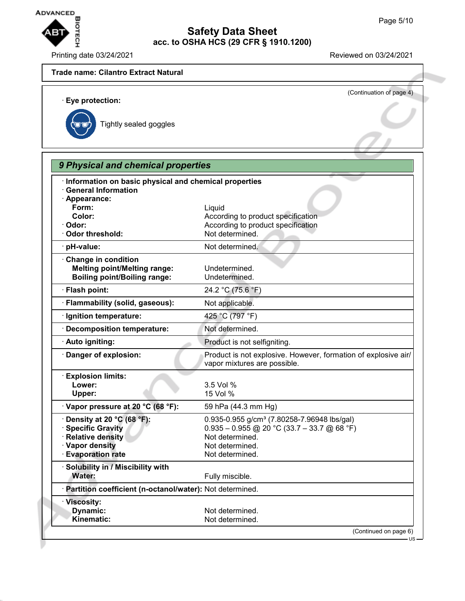

Printing date 03/24/2021 Reviewed on 03/24/2021

# **Trade name: Cilantro Extract Natural** (Continuation of page 4) · **Eye protection:** Tightly sealed goggles *9 Physical and chemical properties* · **Information on basic physical and chemical properties** · **General Information** · **Appearance: Form:** Liquid **Color:** Color: **According to product specification** · Odor: **Odor: According to product specification** · Odor threshold: Not determined. · **pH-value:** Not determined. · **Change in condition Melting point/Melting range:** Undetermined. **Boiling point/Boiling range:** Undetermined. · **Flash point:** 24.2 °C (75.6 °F) · **Flammability (solid, gaseous):** Not applicable. · **Ignition temperature:** 425 °C (797 °F) · **Decomposition temperature:** Not determined. · **Auto igniting:** Product is not selfigniting. · **Danger of explosion:** Product is not explosive. However, formation of explosive air/ vapor mixtures are possible. · **Explosion limits: Lower:** 3.5 Vol % **Upper:** 15 Vol % · **Vapor pressure at 20 °C (68 °F):** 59 hPa (44.3 mm Hg) **• Density at 20 °C (68 °F):** 0.935-0.955 g/cm<sup>3</sup> (7.80258-7.96948 lbs/gal) · **Specific Gravity** 0.935 – 0.955 @ 20 °C (33.7 – 33.7 @ 68 °F) **Relative density Not determined.** · **Vapor density** Not determined. · **Evaporation rate Not determined.** · **Solubility in / Miscibility with**

**Water:** Fully miscible. · **Partition coefficient (n-octanol/water):** Not determined. · **Viscosity: Dynamic:** Not determined.<br> **Kinematic:** Not determined. **Kinematic:** Not determined. (Continued on page 6)

US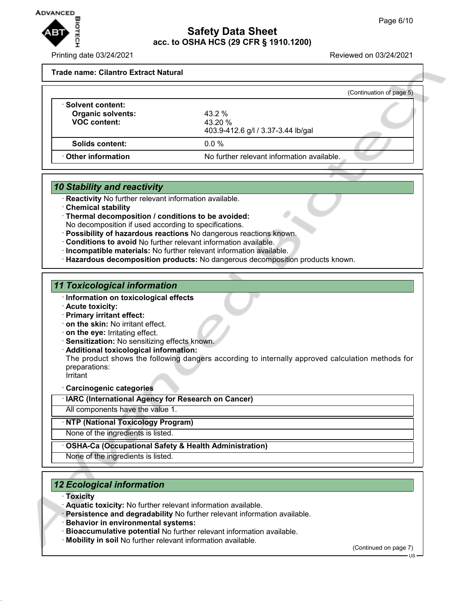

Printing date 03/24/2021 Reviewed on 03/24/2021

#### **Trade name: Cilantro Extract Natural**

|                                                                       |                                                               | (Continuation of page 5) |
|-----------------------------------------------------------------------|---------------------------------------------------------------|--------------------------|
| · Solvent content:<br><b>Organic solvents:</b><br><b>VOC content:</b> | $43.2 \%$<br>$43.20 \%$<br>403.9-412.6 g/l / 3.37-3.44 lb/gal |                          |
| Solids content:                                                       | $0.0\%$                                                       |                          |
| ⋅ Other information                                                   | No further relevant information available.                    |                          |

### *10 Stability and reactivity*

- **Reactivity** No further relevant information available.
- · **Chemical stability**
- · **Thermal decomposition / conditions to be avoided:** No decomposition if used according to specifications.
- · **Possibility of hazardous reactions** No dangerous reactions known.
- · **Conditions to avoid** No further relevant information available.
- · **Incompatible materials:** No further relevant information available.
- · **Hazardous decomposition products:** No dangerous decomposition products known.

## *11 Toxicological information*

- · **Information on toxicological effects**
- · **Acute toxicity:**
- · **Primary irritant effect:**
- · **on the skin:** No irritant effect.
- · **on the eye:** Irritating effect.
- · **Sensitization:** No sensitizing effects known.
- · **Additional toxicological information:**
- The product shows the following dangers according to internally approved calculation methods for preparations:

**irritant** 

· **Carcinogenic categories**

· **IARC (International Agency for Research on Cancer)**

All components have the value 1.

· **NTP (National Toxicology Program)**

None of the ingredients is listed.

### · **OSHA-Ca (Occupational Safety & Health Administration)**

None of the ingredients is listed.

## *12 Ecological information*

- · **Toxicity**
- · **Aquatic toxicity:** No further relevant information available.
- · **Persistence and degradability** No further relevant information available.
- · **Behavior in environmental systems:**
- · **Bioaccumulative potential** No further relevant information available.
- · **Mobility in soil** No further relevant information available.

(Continued on page 7)

US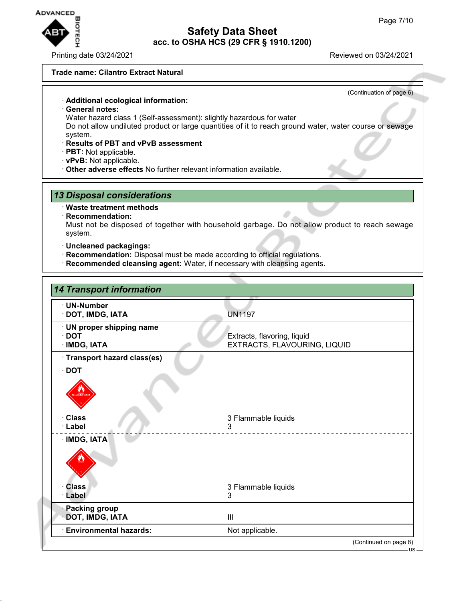

Printing date 03/24/2021 Reviewed on 03/24/2021

(Continuation of page 6)

#### **Trade name: Cilantro Extract Natural**

· **Additional ecological information:**

- · **General notes:**
- Water hazard class 1 (Self-assessment): slightly hazardous for water

Do not allow undiluted product or large quantities of it to reach ground water, water course or sewage system.

- · **Results of PBT and vPvB assessment**
- · **PBT:** Not applicable.
- · **vPvB:** Not applicable.
- · **Other adverse effects** No further relevant information available.

### *13 Disposal considerations*

#### · **Waste treatment methods**

· **Recommendation:**

Must not be disposed of together with household garbage. Do not allow product to reach sewage system.

- · **Uncleaned packagings:**
- · **Recommendation:** Disposal must be made according to official regulations.
- · **Recommended cleansing agent:** Water, if necessary with cleansing agents.

| · UN-Number                             |                                                             |
|-----------------------------------------|-------------------------------------------------------------|
| · DOT, IMDG, IATA                       | <b>UN1197</b>                                               |
| · UN proper shipping name               |                                                             |
| $\cdot$ DOT<br><b>IMDG, IATA</b>        | Extracts, flavoring, liquid<br>EXTRACTS, FLAVOURING, LIQUID |
| · Transport hazard class(es)            |                                                             |
| $\cdot$ DOT                             |                                                             |
|                                         |                                                             |
| · Class<br>· Label                      | 3 Flammable liquids<br>3                                    |
| · IMDG, IATA                            |                                                             |
| <b>Class</b>                            | 3 Flammable liquids                                         |
| · Label                                 | 3                                                           |
| <b>Packing group</b><br>DOT, IMDG, IATA | $\mathbf{III}$                                              |
| <b>Environmental hazards:</b>           | Not applicable.                                             |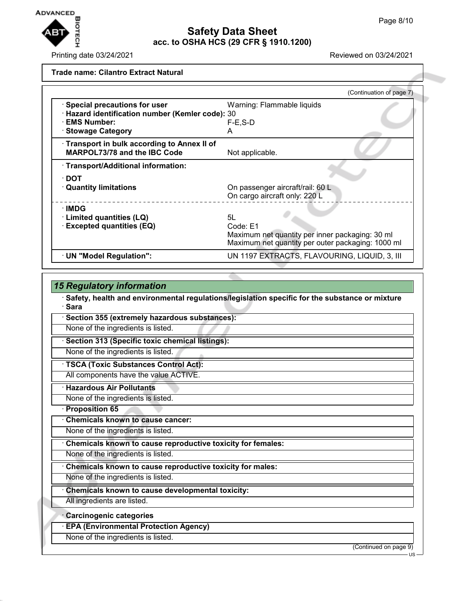

Printing date 03/24/2021 **Reviewed on 03/24/2021** 

| <b>Trade name: Cilantro Extract Natural</b> |  |
|---------------------------------------------|--|
|                                             |  |

|                                                                                    | (Continuation of page 7)                                                                             |
|------------------------------------------------------------------------------------|------------------------------------------------------------------------------------------------------|
| · Special precautions for user<br>· Hazard identification number (Kemler code): 30 | Warning: Flammable liquids                                                                           |
| · EMS Number:                                                                      | $F-E$ , S-D                                                                                          |
| · Stowage Category                                                                 | А                                                                                                    |
| Transport in bulk according to Annex II of<br><b>MARPOL73/78 and the IBC Code</b>  | Not applicable.                                                                                      |
| · Transport/Additional information:                                                |                                                                                                      |
| $\cdot$ DOT                                                                        |                                                                                                      |
| <b>Quantity limitations</b>                                                        | On passenger aircraft/rail: 60 L<br>On cargo aircraft only: 220 L                                    |
| $\cdot$ IMDG                                                                       |                                                                                                      |
| Limited quantities (LQ)                                                            | 5L                                                                                                   |
| <b>Excepted quantities (EQ)</b>                                                    | Code: E1                                                                                             |
|                                                                                    | Maximum net quantity per inner packaging: 30 ml<br>Maximum net quantity per outer packaging: 1000 ml |
| · UN "Model Regulation":                                                           | UN 1197 EXTRACTS, FLAVOURING, LIQUID, 3, III                                                         |
|                                                                                    |                                                                                                      |

| <b>15 Regulatory information</b>                                                                           |                       |
|------------------------------------------------------------------------------------------------------------|-----------------------|
| · Safety, health and environmental regulations/legislation specific for the substance or mixture<br>· Sara |                       |
| Section 355 (extremely hazardous substances):                                                              |                       |
| None of the ingredients is listed.                                                                         |                       |
| Section 313 (Specific toxic chemical listings):                                                            |                       |
| None of the ingredients is listed.                                                                         |                       |
| · TSCA (Toxic Substances Control Act):                                                                     |                       |
| All components have the value ACTIVE.                                                                      |                       |
| <b>Hazardous Air Pollutants</b>                                                                            |                       |
| None of the ingredients is listed.                                                                         |                       |
| · Proposition 65                                                                                           |                       |
| <b>Chemicals known to cause cancer:</b>                                                                    |                       |
| None of the ingredients is listed.                                                                         |                       |
| Chemicals known to cause reproductive toxicity for females:                                                |                       |
| None of the ingredients is listed.                                                                         |                       |
| Chemicals known to cause reproductive toxicity for males:                                                  |                       |
| None of the ingredients is listed.                                                                         |                       |
| Chemicals known to cause developmental toxicity:                                                           |                       |
| All ingredients are listed.                                                                                |                       |
| <b>Carcinogenic categories</b>                                                                             |                       |
| <b>EPA (Environmental Protection Agency)</b>                                                               |                       |
| None of the ingredients is listed.                                                                         |                       |
|                                                                                                            | (Continued on page 9) |

US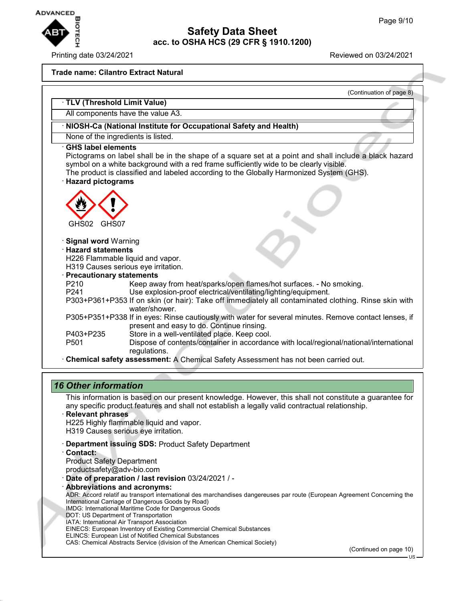

#### Printing date 03/24/2021 Reviewed on 03/24/2021

#### **Trade name: Cilantro Extract Natural**

|                                                                   | (Continuation of page 8)                                                                                                                                                                                                                                                                    |
|-------------------------------------------------------------------|---------------------------------------------------------------------------------------------------------------------------------------------------------------------------------------------------------------------------------------------------------------------------------------------|
| TLV (Threshold Limit Value)                                       |                                                                                                                                                                                                                                                                                             |
| All components have the value A3.                                 |                                                                                                                                                                                                                                                                                             |
|                                                                   | · NIOSH-Ca (National Institute for Occupational Safety and Health)                                                                                                                                                                                                                          |
| None of the ingredients is listed.                                |                                                                                                                                                                                                                                                                                             |
| <b>GHS label elements</b>                                         |                                                                                                                                                                                                                                                                                             |
| <b>Hazard pictograms</b>                                          | Pictograms on label shall be in the shape of a square set at a point and shall include a black hazard<br>symbol on a white background with a red frame sufficiently wide to be clearly visible.<br>The product is classified and labeled according to the Globally Harmonized System (GHS). |
|                                                                   |                                                                                                                                                                                                                                                                                             |
|                                                                   |                                                                                                                                                                                                                                                                                             |
|                                                                   |                                                                                                                                                                                                                                                                                             |
| GHS02<br>GHS07                                                    |                                                                                                                                                                                                                                                                                             |
|                                                                   |                                                                                                                                                                                                                                                                                             |
| <b>Signal word</b> Warning                                        |                                                                                                                                                                                                                                                                                             |
| <b>Hazard statements</b>                                          |                                                                                                                                                                                                                                                                                             |
| H226 Flammable liquid and vapor.                                  |                                                                                                                                                                                                                                                                                             |
| H319 Causes serious eye irritation.<br>· Precautionary statements |                                                                                                                                                                                                                                                                                             |
| P210                                                              | Keep away from heat/sparks/open flames/hot surfaces. - No smoking.                                                                                                                                                                                                                          |
| P <sub>241</sub>                                                  | Use explosion-proof electrical/ventilating/lighting/equipment.                                                                                                                                                                                                                              |
|                                                                   | P303+P361+P353 If on skin (or hair): Take off immediately all contaminated clothing. Rinse skin with                                                                                                                                                                                        |
| water/shower.                                                     |                                                                                                                                                                                                                                                                                             |
|                                                                   | P305+P351+P338 If in eyes: Rinse cautiously with water for several minutes. Remove contact lenses, if                                                                                                                                                                                       |
|                                                                   | present and easy to do. Continue rinsing.                                                                                                                                                                                                                                                   |
| P403+P235                                                         | Store in a well-ventilated place. Keep cool.                                                                                                                                                                                                                                                |
| P501<br>regulations.                                              | Dispose of contents/container in accordance with local/regional/national/international                                                                                                                                                                                                      |
|                                                                   |                                                                                                                                                                                                                                                                                             |

## *16 Other information*

This information is based on our present knowledge. However, this shall not constitute a guarantee for any specific product features and shall not establish a legally valid contractual relationship.

- · **Relevant phrases** H225 Highly flammable liquid and vapor. H319 Causes serious eye irritation.
- · **Department issuing SDS:** Product Safety Department
- · **Contact:** Product Safety Department productsafety@adv-bio.com
- · **Date of preparation / last revision** 03/24/2021 / -
- · **Abbreviations and acronyms:** ADR: Accord relatif au transport international des marchandises dangereuses par route (European Agreement Concerning the International Carriage of Dangerous Goods by Road) IMDG: International Maritime Code for Dangerous Goods DOT: US Department of Transportation IATA: International Air Transport Association EINECS: European Inventory of Existing Commercial Chemical Substances ELINCS: European List of Notified Chemical Substances CAS: Chemical Abstracts Service (division of the American Chemical Society)

(Continued on page 10)

US